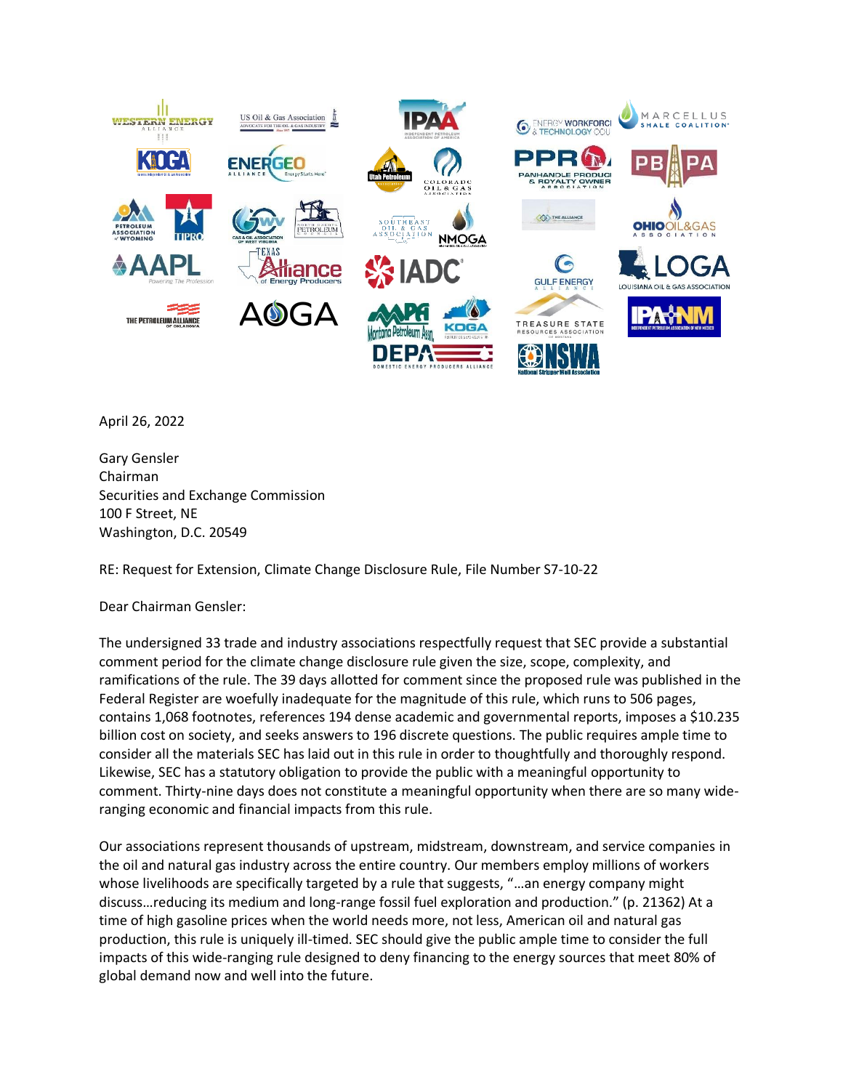

April 26, 2022

Gary Gensler Chairman Securities and Exchange Commission 100 F Street, NE Washington, D.C. 20549

RE: Request for Extension, Climate Change Disclosure Rule, File Number S7-10-22

Dear Chairman Gensler:

The undersigned 33 trade and industry associations respectfully request that SEC provide a substantial comment period for the climate change disclosure rule given the size, scope, complexity, and ramifications of the rule. The 39 days allotted for comment since the proposed rule was published in the Federal Register are woefully inadequate for the magnitude of this rule, which runs to 506 pages, contains 1,068 footnotes, references 194 dense academic and governmental reports, imposes a \$10.235 billion cost on society, and seeks answers to 196 discrete questions. The public requires ample time to consider all the materials SEC has laid out in this rule in order to thoughtfully and thoroughly respond. Likewise, SEC has a statutory obligation to provide the public with a meaningful opportunity to comment. Thirty-nine days does not constitute a meaningful opportunity when there are so many wideranging economic and financial impacts from this rule.

Our associations represent thousands of upstream, midstream, downstream, and service companies in the oil and natural gas industry across the entire country. Our members employ millions of workers whose livelihoods are specifically targeted by a rule that suggests, "…an energy company might discuss…reducing its medium and long-range fossil fuel exploration and production." (p. 21362) At a time of high gasoline prices when the world needs more, not less, American oil and natural gas production, this rule is uniquely ill-timed. SEC should give the public ample time to consider the full impacts of this wide-ranging rule designed to deny financing to the energy sources that meet 80% of global demand now and well into the future.